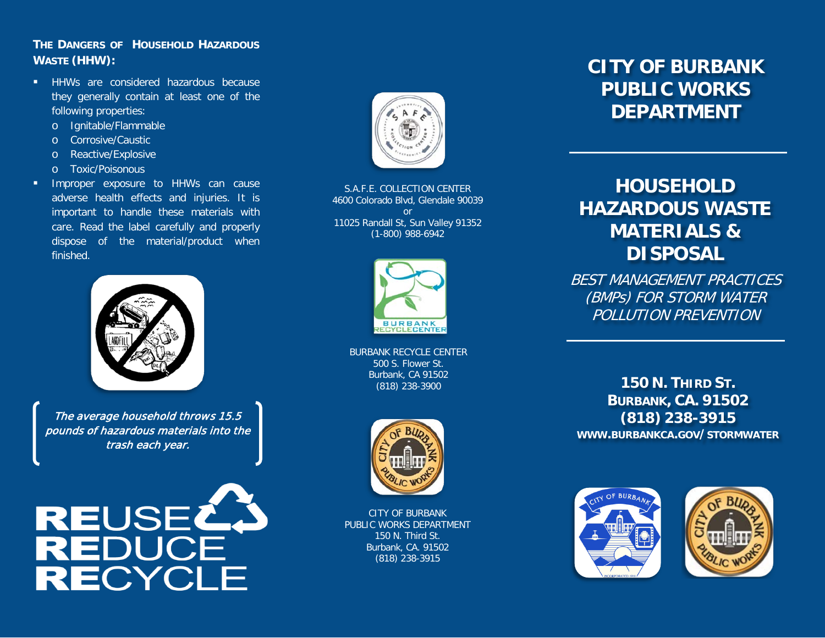### **THE DANGERS OF HOUSEHOLD HAZARDOUS WASTE (HHW):**

- **HHWs** are considered hazardous because they generally contain at least one of the following properties:
	- o Ignitable/Flammable
	- o Corrosive/Caustic
	- o Reactive/Explosive
	- o Toxic/Poisonous
- **Improper exposure to HHWs can cause** adverse health effects and injuries. It is important to handle these materials with care. Read the label carefully and properly dispose of the material/product when finished.



The average household throws 15.5 pounds of hazardous materials into the trash each year.





S.A.F.E. COLLECTION CENTER 4600 Colorado Blvd, Glendale 90039 or 11025 Randall St, Sun Valley 91352 (1-800) 988-6942



BURBANK RECYCLE CENTER 500 S. Flower St. Burbank, CA 91502 (818) 238-3900



CITY OF BURBANK PUBLIC WORKS DEPARTMENT 150 N. Third St. Burbank, CA. 91502 (818) 238-3915

# **CITY OF BURBANK PUBLIC WORKS DEPARTMENT**

# **HOUSEHOLD HAZARDOUS WASTE MATERIALS & DISPOSAL**

BEST MANAGEMENT PRACTICES (BMPs) FOR STORM WATER POLLUTION PREVENTION

**150 N. THIRD ST. BURBANK, CA. 91502 (818) 238-3915 WWW.BURBANKCA.GOV/STORMWATER**